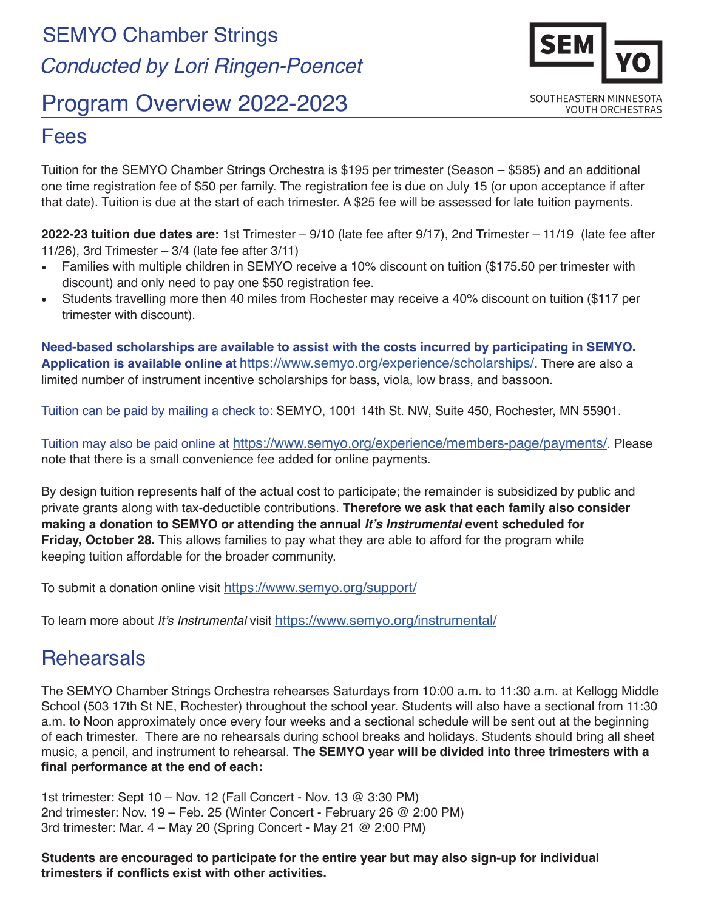# SEMYO Chamber Strings  *Conducted by Lori Ringen-Poencet*

# Program Overview 2022-2023



#### Fees

Tuition for the SEMYO Chamber Strings Orchestra is \$195 per trimester (Season – \$585) and an additional one time registration fee of \$50 per family. The registration fee is due on July 15 (or upon acceptance if after that date). Tuition is due at the start of each trimester. A \$25 fee will be assessed for late tuition payments.

**2022-23 tuition due dates are:** 1st Trimester – 9/10 (late fee after 9/17), 2nd Trimester – 11/19 (late fee after 11/26), 3rd Trimester – 3/4 (late fee after 3/11)

- Families with multiple children in SEMYO receive a 10% discount on tuition (\$175.50 per trimester with discount) and only need to pay one \$50 registration fee.
- Students travelling more then 40 miles from Rochester may receive a 40% discount on tuition (\$117 per trimester with discount).

**Need-based scholarships are available to assist with the costs incurred by participating in SEMYO. Application is available online at** [https://www.semyo.org/experience/scholarships/]( https://www.semyo.org/experience/scholarships/)**.** There are also a limited number of instrument incentive scholarships for bass, viola, low brass, and bassoon.

Tuition can be paid by mailing a check to: SEMYO, 1001 14th St. NW, Suite 450, Rochester, MN 55901.

Tuition may also be paid [online](http://semyo.org/tuition/) at <https://www.semyo.org/experience/members-page/payments/>. Please note that there is a small convenience fee added for online payments.

By design tuition represents half of the actual cost to participate; the remainder is subsidized by public and private grants along with tax-deductible contributions. **Therefore we ask that each family also consider making a donation to SEMYO or attending the annual It's Instrumental event scheduled for Friday, October 28.** This allows families to pay what they are able to afford for the program while keeping tuition affordable for the broader community.

To submit a donation online visit <https://www.semyo.org/support/>

To learn more about It's Instrumental visit<https://www.semyo.org/instrumental/>

## **Rehearsals**

The SEMYO Chamber Strings Orchestra rehearses Saturdays from 10:00 a.m. to 11:30 a.m. at Kellogg Middle School (503 17th St NE, Rochester) throughout the school year. Students will also have a sectional from 11:30 a.m. to Noon approximately once every four weeks and a sectional schedule will be sent out at the beginning of each trimester. There are no rehearsals during school breaks and holidays. Students should bring all sheet music, a pencil, and instrument to rehearsal. **The SEMYO year will be divided into three trimesters with a final performance at the end of each:** 

1st trimester: Sept 10 – Nov. 12 (Fall Concert - Nov. 13 @ 3:30 PM) 2nd trimester: Nov. 19 – Feb. 25 (Winter Concert - February 26 @ 2:00 PM) 3rd trimester: Mar. 4 – May 20 (Spring Concert - May 21 @ 2:00 PM)

**Students are encouraged to participate for the entire year but may also sign-up for individual trimesters if conflicts exist with other activities.**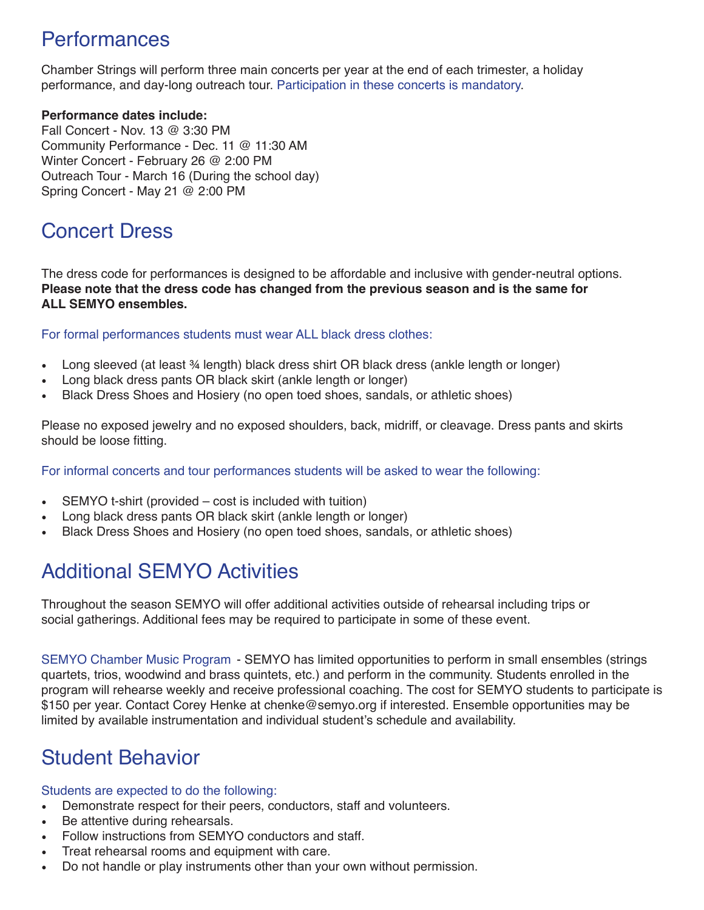## **Performances**

Chamber Strings will perform three main concerts per year at the end of each trimester, a holiday performance, and day-long outreach tour. Participation in these concerts is mandatory.

#### **Performance dates include:**

Fall Concert - Nov. 13 @ 3:30 PM Community Performance - Dec. 11 @ 11:30 AM Winter Concert - February 26 @ 2:00 PM Outreach Tour - March 16 (During the school day) Spring Concert - May 21 @ 2:00 PM

# Concert Dress

The dress code for performances is designed to be affordable and inclusive with gender-neutral options. **Please note that the dress code has changed from the previous season and is the same for ALL SEMYO ensembles.** 

For formal performances students must wear ALL black dress clothes:

- Long sleeved (at least 34 length) black dress shirt OR black dress (ankle length or longer)
- Long black dress pants OR black skirt (ankle length or longer)
- Black Dress Shoes and Hosiery (no open toed shoes, sandals, or athletic shoes)

Please no exposed jewelry and no exposed shoulders, back, midriff, or cleavage. Dress pants and skirts should be loose fitting.

For informal concerts and tour performances students will be asked to wear the following:

- SEMYO t-shirt (provided cost is included with tuition)
- Long black dress pants OR black skirt (ankle length or longer)
- Black Dress Shoes and Hosiery (no open toed shoes, sandals, or athletic shoes)

# Additional SEMYO Activities

Throughout the season SEMYO will offer additional activities outside of rehearsal including trips or social gatherings. Additional fees may be required to participate in some of these event.

SEMYO Chamber Music Program - SEMYO has limited opportunities to perform in small ensembles (strings quartets, trios, woodwind and brass quintets, etc.) and perform in the community. Students enrolled in the program will rehearse weekly and receive professional coaching. The cost for SEMYO students to participate is \$150 per year. Contact Corey Henke at chenke@semyo.org if interested. Ensemble opportunities may be limited by available instrumentation and individual student's schedule and availability.

# Student Behavior

#### Students are expected to do the following:

- Demonstrate respect for their peers, conductors, staff and volunteers.
- Be attentive during rehearsals.
- Follow instructions from SEMYO conductors and staff.
- Treat rehearsal rooms and equipment with care.
- Do not handle or play instruments other than your own without permission.